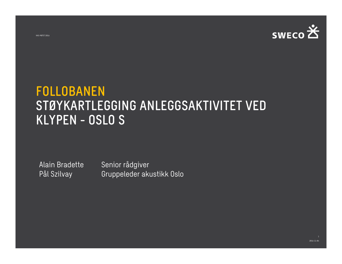

# FOLLOBANEN STØYKARTLEGGING ANLEGGSAKTIVITET VED FOLLOBANEN<br>STØYKARTLEGGING ANI<br>KLYPEN - OSLO S **KLYPEN - OSLO S<br>Alain Bradette Senior rådgiver<br>Pål Szilvay Gruppeleder akt**

Gruppeleder akustikk Oslo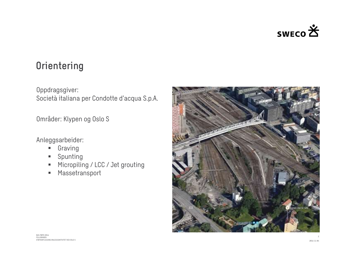

#### **Orientering**

Oppdragsgiver: Orientering<br>Oppdragsgiver:<br>Società italiana per Condotte d'acqua S.p.A.

Områder: Klypen og Oslo S

#### Anleggsarbeider:

- **Graving**
- **Spunting**
- Micropiling / LCC / Jet grouting
- **Massetransport**

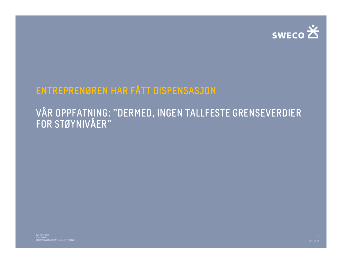

## ENTREPRENØREN HAR FÅTT DISPENSASJON

#### VÅR OPPFATNING: "DERMED, INGEN TALLFESTE GRENSEVERDIER FOR STØYNIVÅER"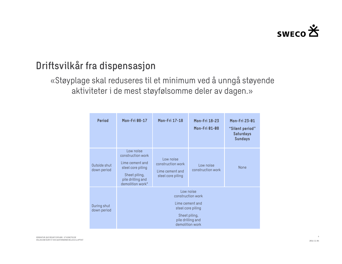

### Driftsvilkår fra dispensasjon

«Støyplage skal reduseres til et minimum ved å unngå støyende aktiviteter i de mest støyfølsomme deler av dagen.»

| ra dispensasjon                                                                                      |                                                                                                                                  |                                                                        |                                       |                                                                        |  |  |  |  |  |  |  |
|------------------------------------------------------------------------------------------------------|----------------------------------------------------------------------------------------------------------------------------------|------------------------------------------------------------------------|---------------------------------------|------------------------------------------------------------------------|--|--|--|--|--|--|--|
| skal reduseres til et minimum ved å unngå støyende<br>iteter i de mest støyfølsomme deler av dagen.» |                                                                                                                                  |                                                                        |                                       |                                                                        |  |  |  |  |  |  |  |
| <b>Period</b>                                                                                        | <b>Mon-Fri 08-17</b>                                                                                                             | <b>Mon-Fri 17-18</b>                                                   | Mon-Fri 18-23<br><b>Mon-Fri 01-08</b> | Mon-Fri 23-01<br>"Silent period"<br><b>Saturdays</b><br><b>Sundays</b> |  |  |  |  |  |  |  |
| Outside shut<br>down period                                                                          | Low noise<br>construction work<br>Lime cement and<br>steel core piling<br>Sheet piling,<br>pile drilling and<br>demolition work* | Low noise<br>construction work<br>Lime cement and<br>steel core piling | Low noise<br>construction work        | <b>None</b>                                                            |  |  |  |  |  |  |  |
| During shut<br>down period                                                                           | Low noise<br>construction work<br>Lime cement and<br>steel core piling<br>Sheet piling,<br>pile drilling and<br>demolition work  |                                                                        |                                       |                                                                        |  |  |  |  |  |  |  |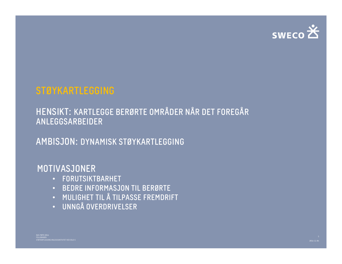

#### STØYKARTLEGGING

#### HENSIKT: KARTLEGGE BERØRTE OMRÅDER NÅR DET FOREGÅR ANLEGGSARBEIDER

AMBISJON: DYNAMISK STØYKARTLEGGING

#### MOTIVASJONER

- FORUTSIKTBARHET
- BEDRE INFORMASJON TIL BERØRTE
- 2016-11-04 NAS-MØTE 2016 STØYKARTLEGGING ANDET TIL Å TILPASSE FREMDRIFT<br>
STØYKARTLEGGENNE ANDER FREMDRIFT<br>
STØYKARTLEGGENNE VERDRIVELSER<br>
STØYKARTLEGGENNE ANDER FREMDRIFT<br>
STØYKARTLEGGENNE ANDER FREMDRIFT<br>
STØYKARTLEGGENNE STØYKARTLEGGENNE ANDER F • MULIGHET TIL Å TILPASSE FREMDRIFT
	- UNNGÅ OVERDRIVELSER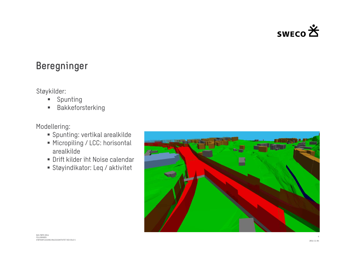

#### Beregninger

#### Støykilder:

- **Spunting**
- **Bakkeforsterking**

Modellering:

- Spunting: vertikal arealkilde
- Micropiling / LCC: horisontal arealkilde
- 
- 

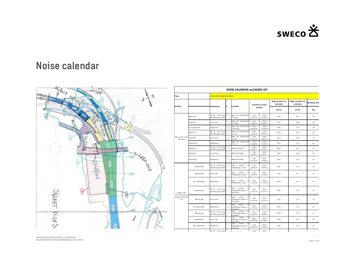

#### Noise calendar



|                                                  |                    |                                                            |                                                                     |                   |                               |                                 | swEco <del>的</del>              |                                                                                                                                                                  |
|--------------------------------------------------|--------------------|------------------------------------------------------------|---------------------------------------------------------------------|-------------------|-------------------------------|---------------------------------|---------------------------------|------------------------------------------------------------------------------------------------------------------------------------------------------------------|
|                                                  |                    |                                                            | <b>NOISE CALENDAR and NOISE LIST</b>                                |                   |                               |                                 |                                 |                                                                                                                                                                  |
| Time:                                            |                    | 2016-2017-2018-2019-2020                                   |                                                                     |                   |                               |                                 |                                 |                                                                                                                                                                  |
|                                                  |                    |                                                            |                                                                     |                   |                               | Daily duration of<br>activities | Night duration of<br>activities | <b>Working Time</b>                                                                                                                                              |
| <b>Activity</b>                                  |                    | Equipment<br>In.                                           | Location                                                            |                   | Duration of total<br>activity | [% hr]                          | [% hr]                          | $[hr] \centering% \includegraphics[width=1.0\textwidth]{Figures/PN1.png} \caption{The 3D (top) and 4D (bottom) are shown in Fig.~\ref{fig:10}. } \label{fig:10}$ |
|                                                  | Sheet Piles        | RG 19 T Pile driver<br>$\,$ 1                              | AREA 126 (K143-K144)                                                | From              | Untill                        | 80 %                            | 20 %                            | 24                                                                                                                                                               |
|                                                  | Sheet Piles        | with telescopic leader<br>Lorry Crane<br>$\,$ 1            | Part A,B,E<br>AREA 126 (K143-K144)                                  | 28.06.16<br>From  | 30.06.16<br>Untill            | 30 %                            | 20 %                            | 24                                                                                                                                                               |
|                                                  | Soil stabilitation | $\,$ 1 $\,$<br>Rig Machine                                 | Part A,B,E<br>AREA 126 (K143-K144)                                  | 28.06.16<br>From  | 30.06.16<br>Untill            | 80 %                            | 0 %                             | 16                                                                                                                                                               |
|                                                  | Sheet Piles        | RG 19 T Pile driver<br>$\,$ 1                              | Part A,B,C,D<br>AREA 126 (K143-K144)                                | 10.08.20<br>From  | 01.09.20<br>Untill            | 80 %                            | 20 %                            | 24                                                                                                                                                               |
| Special area - Area                              | Sheet Piles        | with telescopic leader<br>$\,$ $\,$<br>Lorry Crane         | Part C,D<br>AREA 126 (K143-K144)                                    | 13.07.16<br>From  | 30.07.16<br>Untill            | 30 %                            | 10 %                            | 24                                                                                                                                                               |
| 126 Haven                                        | Jet grouting       | $\,$ $\,$<br>Rig Machine                                   | Part C,D<br>AREA 126 (K143-K144)                                    | 13.07.16<br>From  | 30.07.16<br>Untill            | 80 %                            | 0%                              | 16                                                                                                                                                               |
|                                                  | Sheet Piles        | RG 19 T Pile driver<br>$\,$ 1 $\,$                         | Part E<br>AREA 126 (-K144)                                          | 26.08.20<br>From  | 11.09.20<br>Untill            | 80 %                            | 20 %                            | 24                                                                                                                                                               |
|                                                  | Sheet Piles        | with telescopic leader<br>Lorry Crane<br>$\overline{1}$    | AREA 126 (-K144)                                                    | 26.06.17<br>From  | 02.07.17<br>Untill            | 30 %                            | 10 %                            | 24                                                                                                                                                               |
|                                                  |                    |                                                            |                                                                     | 26.06.17<br>From  | 02.07.17<br>Untill            |                                 |                                 |                                                                                                                                                                  |
|                                                  | Jet grouting       | Rig Machine                                                | 1 AREA 126 (-K144)                                                  | 31.07.20          | 11.09.20                      | 80 %                            | 0 %                             | 16                                                                                                                                                               |
|                                                  | Sheet pilings      | RG 19 T Pile driver<br>$\,$ $\,$<br>with telescopic leader | section<br>Open<br>Østfoldbanen - K138                              | From<br>09.09.16  | Untill<br>19.09.16            | $80~\%$                         | 0 %                             | $16\,$                                                                                                                                                           |
|                                                  | Sheet pilings      | $\,$ $\,$<br>Lorry Crane                                   | Open<br>section<br>Østfoldbanen - K138                              | From<br>09.09.16  | Untill<br>19.09.16            | 30 %                            | 0 %                             | $16\,$                                                                                                                                                           |
|                                                  | Soil stabilitation | Rig Machine<br>$\mathbf{1}$                                | Open<br>section                                                     | From              | Untill                        | $80~\%$                         | 0%                              | $16\,$                                                                                                                                                           |
|                                                  |                    |                                                            | Østfoldbanen - K138                                                 | 19.09.16          | 27.10.16                      |                                 |                                 |                                                                                                                                                                  |
| Subarea 126:                                     | Sheet pilings      | RG 19 T Pile driver<br>with telescopic leader              | Open<br>section<br>$10$<br>ictfoldh:<br>anen (phase 1<br>K143 west) | From<br>15.07.16  | Untill<br>27.07.16            | $80~\%$                         | 0%                              | 16                                                                                                                                                               |
| Concrete tunnel &<br>troughs for Østfold<br>Line | Sheet pilings      | Lorry Crane                                                | Open section<br>1 Østfoldbanen (phase 1<br>K143 west)               | From<br>15.07.16  | Untill<br>27.07.16            | 30 %                            | 0%                              | $16\,$                                                                                                                                                           |
|                                                  | Soil stabilitation | $1\,$<br>Rig Machine                                       | Open<br>section<br>to<br>Østfoldbanen (phase 1                      | From              | Untill                        | 80 %                            | $0\ \%$                         | $16\,$                                                                                                                                                           |
|                                                  |                    | RG 19 T Pile driver                                        | $K143$ west)<br>Open section<br>to                                  | 27.10.16<br>From  | 18.11.16<br>Untill            |                                 |                                 |                                                                                                                                                                  |
|                                                  | Sheet pilings      | $\overline{1}$<br>with telescopic leader                   | Østfoldbanen (phase 2<br>K143 east)<br>Open section to              | 03.08.20*         | 03.08.20                      | 80 %                            | $0\ \%$                         | 16                                                                                                                                                               |
|                                                  | Sheet pilings      | Lorry Crane<br>$\overline{1}$                              | Østfoldbanen (phase 2<br>K143 east)                                 | From<br>03.08.20* | Untill<br>03.08.20            | 30 %                            | 0%                              | 16                                                                                                                                                               |
|                                                  | Soil stabilitation | Rig Machine<br>$\,$ 1 $\,$                                 | Open section<br>Østfoldbanen (phase 2                               | From<br>03.08.20* | Untill<br>04.08.20            | 80 %                            | 0%                              | 16                                                                                                                                                               |
|                                                  |                    | RG 19 T Pile driver                                        | K143 east)                                                          | From              | Untill                        | $\sim$ $\sim$ $\sim$            | $\sim$ $\sim$                   |                                                                                                                                                                  |
|                                                  |                    |                                                            |                                                                     |                   |                               |                                 |                                 | $\overline{7}$<br>2016-11-04                                                                                                                                     |

2016-11-04 GENDIATUR, QUE REIUNT EXPLABO. UT ASINCTIIS DE VOLLACCAB ISUNT ET EOS QUATIANDANDI DELLECU LLUPTIIST<br>2016-11-04 POLLACCAB ISUNT ET EOS QUATIANDANDI DELLECU LLUPTIIST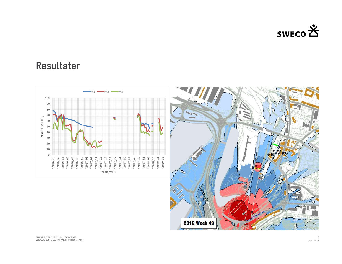

#### Resultater

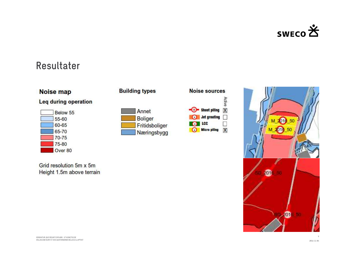

#### Resultater

| <b>Noise map</b><br>Leg during operation |           |  |  |  |  |
|------------------------------------------|-----------|--|--|--|--|
|                                          |           |  |  |  |  |
|                                          | 55-60     |  |  |  |  |
|                                          | 60-65     |  |  |  |  |
|                                          | 65-70     |  |  |  |  |
|                                          | $70 - 75$ |  |  |  |  |
|                                          | 75-80     |  |  |  |  |
|                                          | Over 80   |  |  |  |  |

Grid resolution 5m x 5m Height 1.5m above terrain







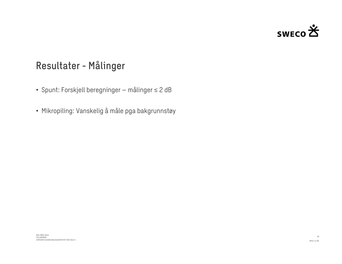

#### Resultater - Målinger

- **Resultater Målinger<br>•** Spunt: Forskjell beregninger målinger ≤ 2 dB
- **Resultater Målinger**<br>• Spunt: Forskjell beregninger målinger ≤ 2 dB<br>• Mikropiling: Vanskelig å måle pga bakgrunnstøy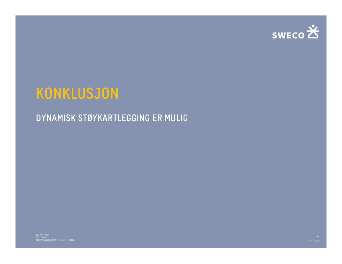

# KONKLUSJON

#### DYNAMISK STØYKARTLEGGING ER MULIG